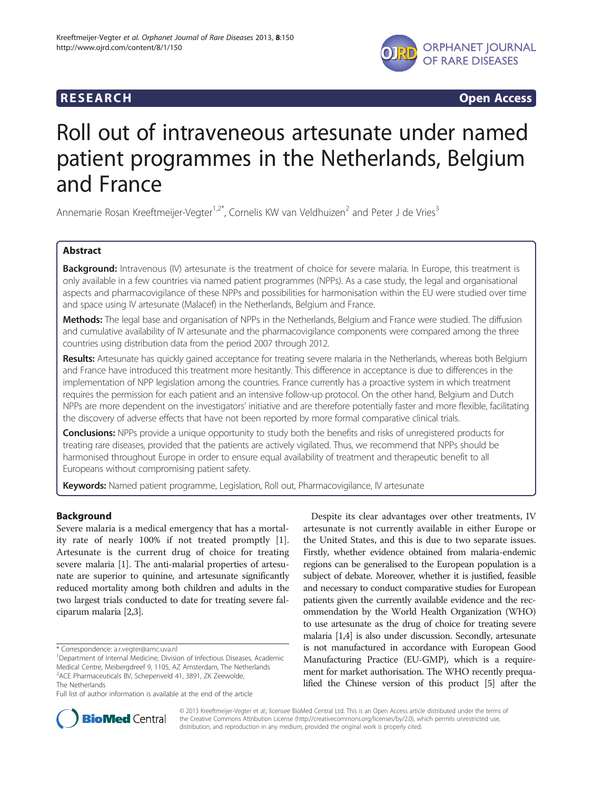

**RESEARCH CHINESEARCH CHINESEARCH CHINESE** 

# Roll out of intraveneous artesunate under named patient programmes in the Netherlands, Belgium and France

Annemarie Rosan Kreeftmeijer-Vegter<sup>1,2\*</sup>, Cornelis KW van Veldhuizen<sup>2</sup> and Peter J de Vries<sup>3</sup>

# Abstract

Background: Intravenous (IV) artesunate is the treatment of choice for severe malaria. In Europe, this treatment is only available in a few countries via named patient programmes (NPPs). As a case study, the legal and organisational aspects and pharmacovigilance of these NPPs and possibilities for harmonisation within the EU were studied over time and space using IV artesunate (Malacef) in the Netherlands, Belgium and France.

Methods: The legal base and organisation of NPPs in the Netherlands, Belgium and France were studied. The diffusion and cumulative availability of IV artesunate and the pharmacovigilance components were compared among the three countries using distribution data from the period 2007 through 2012.

Results: Artesunate has quickly gained acceptance for treating severe malaria in the Netherlands, whereas both Belgium and France have introduced this treatment more hesitantly. This difference in acceptance is due to differences in the implementation of NPP legislation among the countries. France currently has a proactive system in which treatment requires the permission for each patient and an intensive follow-up protocol. On the other hand, Belgium and Dutch NPPs are more dependent on the investigators' initiative and are therefore potentially faster and more flexible, facilitating the discovery of adverse effects that have not been reported by more formal comparative clinical trials.

**Conclusions:** NPPs provide a unique opportunity to study both the benefits and risks of unregistered products for treating rare diseases, provided that the patients are actively vigilated. Thus, we recommend that NPPs should be harmonised throughout Europe in order to ensure equal availability of treatment and therapeutic benefit to all Europeans without compromising patient safety.

Keywords: Named patient programme, Legislation, Roll out, Pharmacovigilance, IV artesunate

# Background

Severe malaria is a medical emergency that has a mortality rate of nearly 100% if not treated promptly [\[1](#page-8-0)]. Artesunate is the current drug of choice for treating severe malaria [[1](#page-8-0)]. The anti-malarial properties of artesunate are superior to quinine, and artesunate significantly reduced mortality among both children and adults in the two largest trials conducted to date for treating severe falciparum malaria [\[2,3\]](#page-8-0).

Full list of author information is available at the end of the article

Despite its clear advantages over other treatments, IV artesunate is not currently available in either Europe or the United States, and this is due to two separate issues. Firstly, whether evidence obtained from malaria-endemic regions can be generalised to the European population is a subject of debate. Moreover, whether it is justified, feasible and necessary to conduct comparative studies for European patients given the currently available evidence and the recommendation by the World Health Organization (WHO) to use artesunate as the drug of choice for treating severe malaria [\[1,4](#page-8-0)] is also under discussion. Secondly, artesunate is not manufactured in accordance with European Good Manufacturing Practice (EU-GMP), which is a requirement for market authorisation. The WHO recently prequalified the Chinese version of this product [[5](#page-8-0)] after the



© 2013 Kreeftmeijer-Vegter et al.; licensee BioMed Central Ltd. This is an Open Access article distributed under the terms of the Creative Commons Attribution License [\(http://creativecommons.org/licenses/by/2.0\)](http://creativecommons.org/licenses/by/2.0), which permits unrestricted use, distribution, and reproduction in any medium, provided the original work is properly cited.

<sup>\*</sup> Correspondence: [a.r.vegter@amc.uva.nl](mailto:a.r.vegter@amc.uva.nl) <sup>1</sup>

<sup>&</sup>lt;sup>1</sup>Department of Internal Medicine, Division of Infectious Diseases, Academic Medical Centre, Meibergdreef 9, 1105, AZ Amsterdam, The Netherlands 2 ACE Pharmaceuticals BV, Schepenveld 41, 3891, ZK Zeewolde, The Netherlands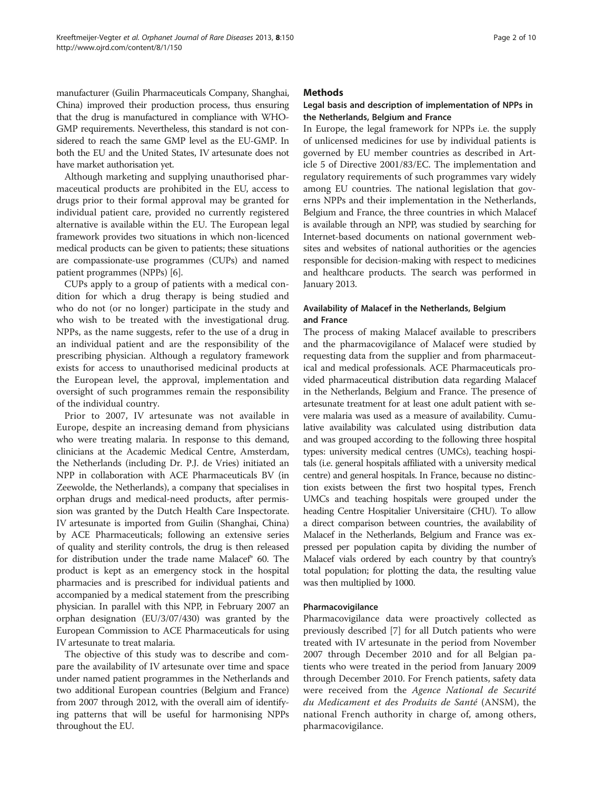manufacturer (Guilin Pharmaceuticals Company, Shanghai, China) improved their production process, thus ensuring that the drug is manufactured in compliance with WHO-GMP requirements. Nevertheless, this standard is not considered to reach the same GMP level as the EU-GMP. In both the EU and the United States, IV artesunate does not have market authorisation yet.

Although marketing and supplying unauthorised pharmaceutical products are prohibited in the EU, access to drugs prior to their formal approval may be granted for individual patient care, provided no currently registered alternative is available within the EU. The European legal framework provides two situations in which non-licenced medical products can be given to patients; these situations are compassionate-use programmes (CUPs) and named patient programmes (NPPs) [[6\]](#page-8-0).

CUPs apply to a group of patients with a medical condition for which a drug therapy is being studied and who do not (or no longer) participate in the study and who wish to be treated with the investigational drug. NPPs, as the name suggests, refer to the use of a drug in an individual patient and are the responsibility of the prescribing physician. Although a regulatory framework exists for access to unauthorised medicinal products at the European level, the approval, implementation and oversight of such programmes remain the responsibility of the individual country.

Prior to 2007, IV artesunate was not available in Europe, despite an increasing demand from physicians who were treating malaria. In response to this demand, clinicians at the Academic Medical Centre, Amsterdam, the Netherlands (including Dr. P.J. de Vries) initiated an NPP in collaboration with ACE Pharmaceuticals BV (in Zeewolde, the Netherlands), a company that specialises in orphan drugs and medical-need products, after permission was granted by the Dutch Health Care Inspectorate. IV artesunate is imported from Guilin (Shanghai, China) by ACE Pharmaceuticals; following an extensive series of quality and sterility controls, the drug is then released for distribution under the trade name Malacef® 60. The product is kept as an emergency stock in the hospital pharmacies and is prescribed for individual patients and accompanied by a medical statement from the prescribing physician. In parallel with this NPP, in February 2007 an orphan designation (EU/3/07/430) was granted by the European Commission to ACE Pharmaceuticals for using IV artesunate to treat malaria.

The objective of this study was to describe and compare the availability of IV artesunate over time and space under named patient programmes in the Netherlands and two additional European countries (Belgium and France) from 2007 through 2012, with the overall aim of identifying patterns that will be useful for harmonising NPPs throughout the EU.

# **Methods**

# Legal basis and description of implementation of NPPs in the Netherlands, Belgium and France

In Europe, the legal framework for NPPs i.e. the supply of unlicensed medicines for use by individual patients is governed by EU member countries as described in Article 5 of Directive 2001/83/EC. The implementation and regulatory requirements of such programmes vary widely among EU countries. The national legislation that governs NPPs and their implementation in the Netherlands, Belgium and France, the three countries in which Malacef is available through an NPP, was studied by searching for Internet-based documents on national government websites and websites of national authorities or the agencies responsible for decision-making with respect to medicines and healthcare products. The search was performed in January 2013.

# Availability of Malacef in the Netherlands, Belgium and France

The process of making Malacef available to prescribers and the pharmacovigilance of Malacef were studied by requesting data from the supplier and from pharmaceutical and medical professionals. ACE Pharmaceuticals provided pharmaceutical distribution data regarding Malacef in the Netherlands, Belgium and France. The presence of artesunate treatment for at least one adult patient with severe malaria was used as a measure of availability. Cumulative availability was calculated using distribution data and was grouped according to the following three hospital types: university medical centres (UMCs), teaching hospitals (i.e. general hospitals affiliated with a university medical centre) and general hospitals. In France, because no distinction exists between the first two hospital types, French UMCs and teaching hospitals were grouped under the heading Centre Hospitalier Universitaire (CHU). To allow a direct comparison between countries, the availability of Malacef in the Netherlands, Belgium and France was expressed per population capita by dividing the number of Malacef vials ordered by each country by that country's total population; for plotting the data, the resulting value was then multiplied by 1000.

## Pharmacovigilance

Pharmacovigilance data were proactively collected as previously described [[7\]](#page-8-0) for all Dutch patients who were treated with IV artesunate in the period from November 2007 through December 2010 and for all Belgian patients who were treated in the period from January 2009 through December 2010. For French patients, safety data were received from the Agence National de Securité du Medicament et des Produits de Santé (ANSM), the national French authority in charge of, among others, pharmacovigilance.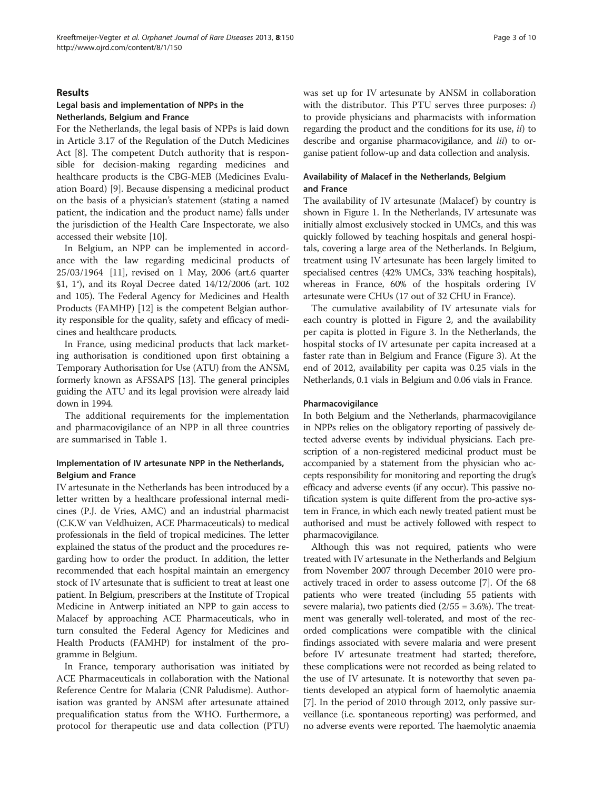#### Results

# Legal basis and implementation of NPPs in the Netherlands, Belgium and France

For the Netherlands, the legal basis of NPPs is laid down in Article 3.17 of the Regulation of the Dutch Medicines Act [\[8\]](#page-8-0). The competent Dutch authority that is responsible for decision-making regarding medicines and healthcare products is the CBG-MEB (Medicines Evaluation Board) [[9\]](#page-8-0). Because dispensing a medicinal product on the basis of a physician's statement (stating a named patient, the indication and the product name) falls under the jurisdiction of the Health Care Inspectorate, we also accessed their website [[10\]](#page-8-0).

In Belgium, an NPP can be implemented in accordance with the law regarding medicinal products of 25/03/1964 [\[11\]](#page-8-0), revised on 1 May, 2006 (art.6 quarter §1, 1°), and its Royal Decree dated 14/12/2006 (art. 102 and 105). The Federal Agency for Medicines and Health Products (FAMHP) [\[12](#page-8-0)] is the competent Belgian authority responsible for the quality, safety and efficacy of medicines and healthcare products.

In France, using medicinal products that lack marketing authorisation is conditioned upon first obtaining a Temporary Authorisation for Use (ATU) from the ANSM, formerly known as AFSSAPS [[13](#page-8-0)]. The general principles guiding the ATU and its legal provision were already laid down in 1994.

The additional requirements for the implementation and pharmacovigilance of an NPP in all three countries are summarised in Table [1](#page-3-0).

# Implementation of IV artesunate NPP in the Netherlands, Belgium and France

IV artesunate in the Netherlands has been introduced by a letter written by a healthcare professional internal medicines (P.J. de Vries, AMC) and an industrial pharmacist (C.K.W van Veldhuizen, ACE Pharmaceuticals) to medical professionals in the field of tropical medicines. The letter explained the status of the product and the procedures regarding how to order the product. In addition, the letter recommended that each hospital maintain an emergency stock of IV artesunate that is sufficient to treat at least one patient. In Belgium, prescribers at the Institute of Tropical Medicine in Antwerp initiated an NPP to gain access to Malacef by approaching ACE Pharmaceuticals, who in turn consulted the Federal Agency for Medicines and Health Products (FAMHP) for instalment of the programme in Belgium.

In France, temporary authorisation was initiated by ACE Pharmaceuticals in collaboration with the National Reference Centre for Malaria (CNR Paludisme). Authorisation was granted by ANSM after artesunate attained prequalification status from the WHO. Furthermore, a protocol for therapeutic use and data collection (PTU) was set up for IV artesunate by ANSM in collaboration with the distributor. This PTU serves three purposes:  $i$ ) to provide physicians and pharmacists with information regarding the product and the conditions for its use, ii) to describe and organise pharmacovigilance, and *iii*) to organise patient follow-up and data collection and analysis.

## Availability of Malacef in the Netherlands, Belgium and France

The availability of IV artesunate (Malacef) by country is shown in Figure [1.](#page-5-0) In the Netherlands, IV artesunate was initially almost exclusively stocked in UMCs, and this was quickly followed by teaching hospitals and general hospitals, covering a large area of the Netherlands. In Belgium, treatment using IV artesunate has been largely limited to specialised centres (42% UMCs, 33% teaching hospitals), whereas in France, 60% of the hospitals ordering IV artesunate were CHUs (17 out of 32 CHU in France).

The cumulative availability of IV artesunate vials for each country is plotted in Figure [2](#page-6-0), and the availability per capita is plotted in Figure [3](#page-7-0). In the Netherlands, the hospital stocks of IV artesunate per capita increased at a faster rate than in Belgium and France (Figure [3\)](#page-7-0). At the end of 2012, availability per capita was 0.25 vials in the Netherlands, 0.1 vials in Belgium and 0.06 vials in France.

#### Pharmacovigilance

In both Belgium and the Netherlands, pharmacovigilance in NPPs relies on the obligatory reporting of passively detected adverse events by individual physicians. Each prescription of a non-registered medicinal product must be accompanied by a statement from the physician who accepts responsibility for monitoring and reporting the drug's efficacy and adverse events (if any occur). This passive notification system is quite different from the pro-active system in France, in which each newly treated patient must be authorised and must be actively followed with respect to pharmacovigilance.

Although this was not required, patients who were treated with IV artesunate in the Netherlands and Belgium from November 2007 through December 2010 were proactively traced in order to assess outcome [[7](#page-8-0)]. Of the 68 patients who were treated (including 55 patients with severe malaria), two patients died  $(2/55 = 3.6\%)$ . The treatment was generally well-tolerated, and most of the recorded complications were compatible with the clinical findings associated with severe malaria and were present before IV artesunate treatment had started; therefore, these complications were not recorded as being related to the use of IV artesunate. It is noteworthy that seven patients developed an atypical form of haemolytic anaemia [[7\]](#page-8-0). In the period of 2010 through 2012, only passive surveillance (i.e. spontaneous reporting) was performed, and no adverse events were reported. The haemolytic anaemia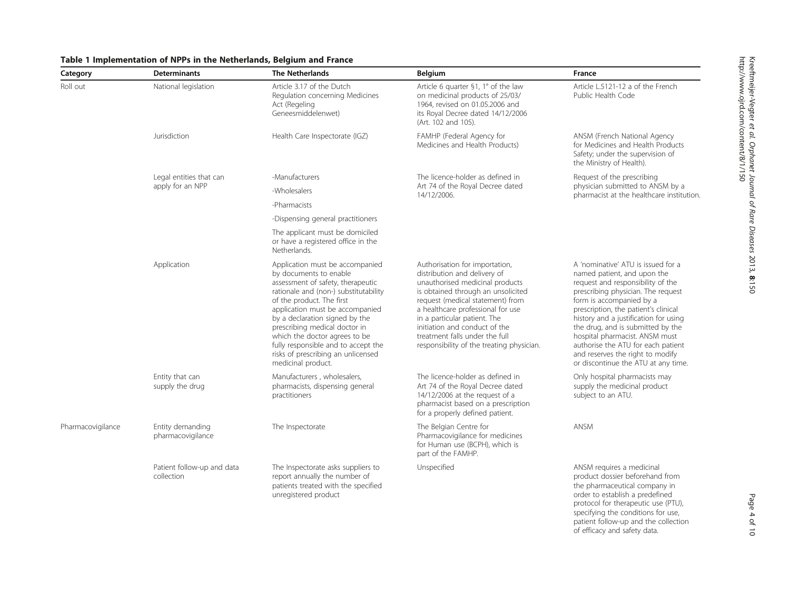| Category          | <b>Determinants</b>                         | <b>The Netherlands</b>                                                                                                                                                                                                                                                                                                                                                                                         | Belgium                                                                                                                                                                                                                                                                                                                                                          | France                                                                                                                                                                                                                                                                                                                                                                                                                                            |
|-------------------|---------------------------------------------|----------------------------------------------------------------------------------------------------------------------------------------------------------------------------------------------------------------------------------------------------------------------------------------------------------------------------------------------------------------------------------------------------------------|------------------------------------------------------------------------------------------------------------------------------------------------------------------------------------------------------------------------------------------------------------------------------------------------------------------------------------------------------------------|---------------------------------------------------------------------------------------------------------------------------------------------------------------------------------------------------------------------------------------------------------------------------------------------------------------------------------------------------------------------------------------------------------------------------------------------------|
| Roll out          | National legislation                        | Article 3.17 of the Dutch<br>Regulation concerning Medicines<br>Act (Regeling<br>Geneesmiddelenwet)                                                                                                                                                                                                                                                                                                            | Article 6 quarter §1, 1° of the law<br>on medicinal products of 25/03/<br>1964, revised on 01.05.2006 and<br>its Royal Decree dated 14/12/2006<br>(Art. 102 and 105).                                                                                                                                                                                            | Article L.5121-12 a of the French<br>Public Health Code                                                                                                                                                                                                                                                                                                                                                                                           |
|                   | Jurisdiction                                | Health Care Inspectorate (IGZ)                                                                                                                                                                                                                                                                                                                                                                                 | FAMHP (Federal Agency for<br>Medicines and Health Products)                                                                                                                                                                                                                                                                                                      | ANSM (French National Agency<br>for Medicines and Health Products<br>Safety; under the supervision of<br>the Ministry of Health).                                                                                                                                                                                                                                                                                                                 |
|                   | Legal entities that can<br>apply for an NPP | -Manufacturers                                                                                                                                                                                                                                                                                                                                                                                                 | The licence-holder as defined in<br>Art 74 of the Royal Decree dated<br>14/12/2006.                                                                                                                                                                                                                                                                              | Request of the prescribing<br>physician submitted to ANSM by a<br>pharmacist at the healthcare institution.                                                                                                                                                                                                                                                                                                                                       |
|                   |                                             | -Wholesalers                                                                                                                                                                                                                                                                                                                                                                                                   |                                                                                                                                                                                                                                                                                                                                                                  |                                                                                                                                                                                                                                                                                                                                                                                                                                                   |
|                   |                                             | -Pharmacists                                                                                                                                                                                                                                                                                                                                                                                                   |                                                                                                                                                                                                                                                                                                                                                                  |                                                                                                                                                                                                                                                                                                                                                                                                                                                   |
|                   |                                             | -Dispensing general practitioners                                                                                                                                                                                                                                                                                                                                                                              |                                                                                                                                                                                                                                                                                                                                                                  |                                                                                                                                                                                                                                                                                                                                                                                                                                                   |
|                   |                                             | The applicant must be domiciled<br>or have a registered office in the<br>Netherlands.                                                                                                                                                                                                                                                                                                                          |                                                                                                                                                                                                                                                                                                                                                                  |                                                                                                                                                                                                                                                                                                                                                                                                                                                   |
|                   | Application                                 | Application must be accompanied<br>by documents to enable<br>assessment of safety, therapeutic<br>rationale and (non-) substitutability<br>of the product. The first<br>application must be accompanied<br>by a declaration signed by the<br>prescribing medical doctor in<br>which the doctor agrees to be<br>fully responsible and to accept the<br>risks of prescribing an unlicensed<br>medicinal product. | Authorisation for importation,<br>distribution and delivery of<br>unauthorised medicinal products<br>is obtained through an unsolicited<br>request (medical statement) from<br>a healthcare professional for use<br>in a particular patient. The<br>initiation and conduct of the<br>treatment falls under the full<br>responsibility of the treating physician. | A 'nominative' ATU is issued for a<br>named patient, and upon the<br>request and responsibility of the<br>prescribing physician. The request<br>form is accompanied by a<br>prescription, the patient's clinical<br>history and a justification for using<br>the drug, and is submitted by the<br>hospital pharmacist. ANSM must<br>authorise the ATU for each patient<br>and reserves the right to modify<br>or discontinue the ATU at any time. |
|                   | Entity that can<br>supply the drug          | Manufacturers, wholesalers,<br>pharmacists, dispensing general<br>practitioners                                                                                                                                                                                                                                                                                                                                | The licence-holder as defined in<br>Art 74 of the Royal Decree dated<br>14/12/2006 at the request of a<br>pharmacist based on a prescription<br>for a properly defined patient.                                                                                                                                                                                  | Only hospital pharmacists may<br>supply the medicinal product<br>subject to an ATU.                                                                                                                                                                                                                                                                                                                                                               |
| Pharmacovigilance | Entity demanding<br>pharmacovigilance       | The Inspectorate                                                                                                                                                                                                                                                                                                                                                                                               | The Belgian Centre for<br>Pharmacovigilance for medicines<br>for Human use (BCPH), which is<br>part of the FAMHP.                                                                                                                                                                                                                                                | ANSM                                                                                                                                                                                                                                                                                                                                                                                                                                              |
|                   | Patient follow-up and data<br>collection    | The Inspectorate asks suppliers to<br>report annually the number of<br>patients treated with the specified<br>unregistered product                                                                                                                                                                                                                                                                             | Unspecified                                                                                                                                                                                                                                                                                                                                                      | ANSM requires a medicinal<br>product dossier beforehand from<br>the pharmaceutical company in<br>order to establish a predefined<br>protocol for therapeutic use (PTU),                                                                                                                                                                                                                                                                           |

# <span id="page-3-0"></span>Table 1 Implementation of NPPs in the Netherlands, Belgium and France

Page 4 of 10

specifying the conditions for use, patient follow-up and the collection of efficacy and safety data.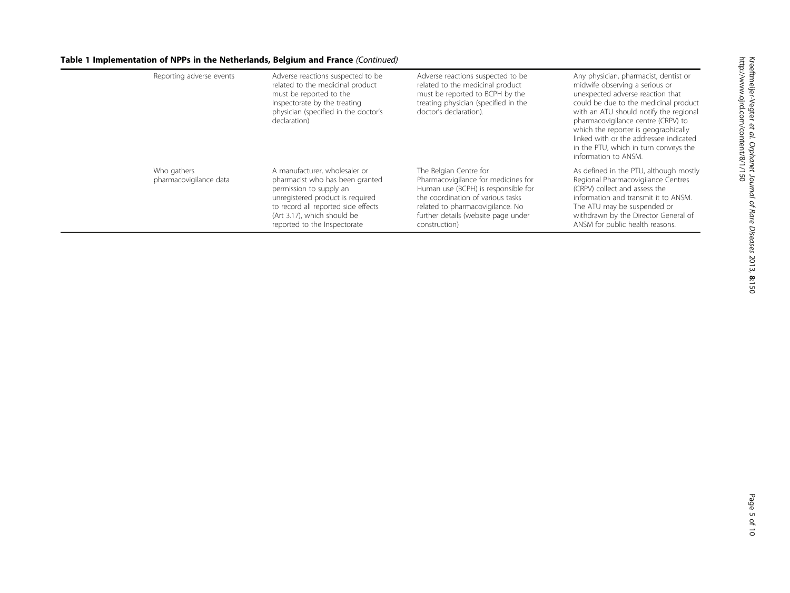# Table 1 Implementation of NPPs in the Netherlands, Belgium and France (Continued)

| Reporting adverse events              | Adverse reactions suspected to be<br>related to the medicinal product<br>must be reported to the<br>Inspectorate by the treating<br>physician (specified in the doctor's<br>declaration)                                              | Adverse reactions suspected to be<br>related to the medicinal product<br>must be reported to BCPH by the<br>treating physician (specified in the<br>doctor's declaration).                                                            | Any physician, pharmacist, dentist or<br>midwife observing a serious or<br>unexpected adverse reaction that<br>could be due to the medicinal product<br>with an ATU should notify the regional<br>pharmacovigilance centre (CRPV) to<br>which the reporter is geographically<br>linked with or the addressee indicated<br>in the PTU, which in turn conveys the<br>information to ANSM. |
|---------------------------------------|---------------------------------------------------------------------------------------------------------------------------------------------------------------------------------------------------------------------------------------|---------------------------------------------------------------------------------------------------------------------------------------------------------------------------------------------------------------------------------------|-----------------------------------------------------------------------------------------------------------------------------------------------------------------------------------------------------------------------------------------------------------------------------------------------------------------------------------------------------------------------------------------|
| Who gathers<br>pharmacovigilance data | A manufacturer, wholesaler or<br>pharmacist who has been granted<br>permission to supply an<br>unregistered product is required<br>to record all reported side effects<br>(Art 3.17), which should be<br>reported to the Inspectorate | The Belgian Centre for<br>Pharmacovigilance for medicines for<br>Human use (BCPH) is responsible for<br>the coordination of various tasks<br>related to pharmacovigilance. No<br>further details (website page under<br>construction) | As defined in the PTU, although mostly<br>Regional Pharmacovigilance Centres<br>(CRPV) collect and assess the<br>information and transmit it to ANSM.<br>The ATU may be suspended or<br>withdrawn by the Director General of<br>ANSM for public health reasons.                                                                                                                         |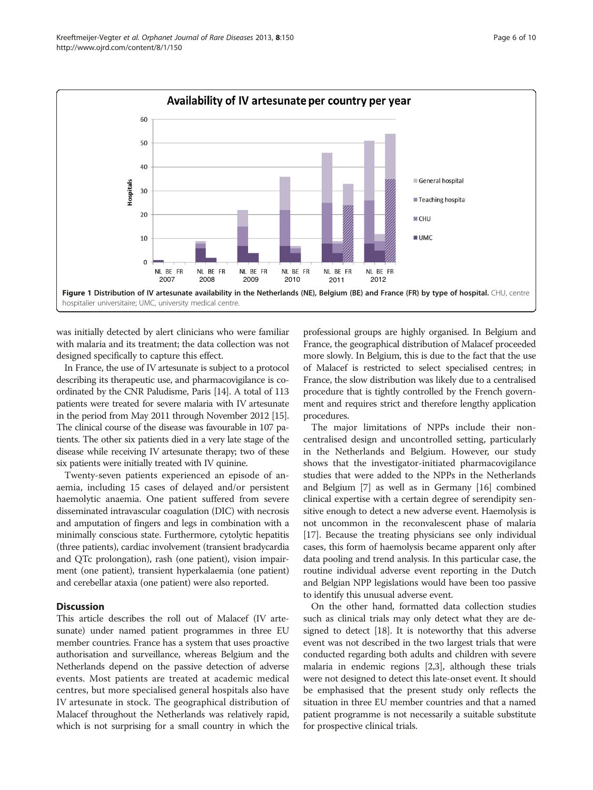<span id="page-5-0"></span>

was initially detected by alert clinicians who were familiar with malaria and its treatment; the data collection was not designed specifically to capture this effect.

In France, the use of IV artesunate is subject to a protocol describing its therapeutic use, and pharmacovigilance is coordinated by the CNR Paludisme, Paris [[14](#page-8-0)]. A total of 113 patients were treated for severe malaria with IV artesunate in the period from May 2011 through November 2012 [\[15](#page-8-0)]. The clinical course of the disease was favourable in 107 patients. The other six patients died in a very late stage of the disease while receiving IV artesunate therapy; two of these six patients were initially treated with IV quinine.

Twenty-seven patients experienced an episode of anaemia, including 15 cases of delayed and/or persistent haemolytic anaemia. One patient suffered from severe disseminated intravascular coagulation (DIC) with necrosis and amputation of fingers and legs in combination with a minimally conscious state. Furthermore, cytolytic hepatitis (three patients), cardiac involvement (transient bradycardia and QTc prolongation), rash (one patient), vision impairment (one patient), transient hyperkalaemia (one patient) and cerebellar ataxia (one patient) were also reported.

#### **Discussion**

This article describes the roll out of Malacef (IV artesunate) under named patient programmes in three EU member countries. France has a system that uses proactive authorisation and surveillance, whereas Belgium and the Netherlands depend on the passive detection of adverse events. Most patients are treated at academic medical centres, but more specialised general hospitals also have IV artesunate in stock. The geographical distribution of Malacef throughout the Netherlands was relatively rapid, which is not surprising for a small country in which the

professional groups are highly organised. In Belgium and France, the geographical distribution of Malacef proceeded more slowly. In Belgium, this is due to the fact that the use of Malacef is restricted to select specialised centres; in France, the slow distribution was likely due to a centralised procedure that is tightly controlled by the French government and requires strict and therefore lengthy application procedures.

The major limitations of NPPs include their noncentralised design and uncontrolled setting, particularly in the Netherlands and Belgium. However, our study shows that the investigator-initiated pharmacovigilance studies that were added to the NPPs in the Netherlands and Belgium [\[7\]](#page-8-0) as well as in Germany [\[16](#page-9-0)] combined clinical expertise with a certain degree of serendipity sensitive enough to detect a new adverse event. Haemolysis is not uncommon in the reconvalescent phase of malaria [[17](#page-9-0)]. Because the treating physicians see only individual cases, this form of haemolysis became apparent only after data pooling and trend analysis. In this particular case, the routine individual adverse event reporting in the Dutch and Belgian NPP legislations would have been too passive to identify this unusual adverse event.

On the other hand, formatted data collection studies such as clinical trials may only detect what they are designed to detect [\[18\]](#page-9-0). It is noteworthy that this adverse event was not described in the two largest trials that were conducted regarding both adults and children with severe malaria in endemic regions [[2,3\]](#page-8-0), although these trials were not designed to detect this late-onset event. It should be emphasised that the present study only reflects the situation in three EU member countries and that a named patient programme is not necessarily a suitable substitute for prospective clinical trials.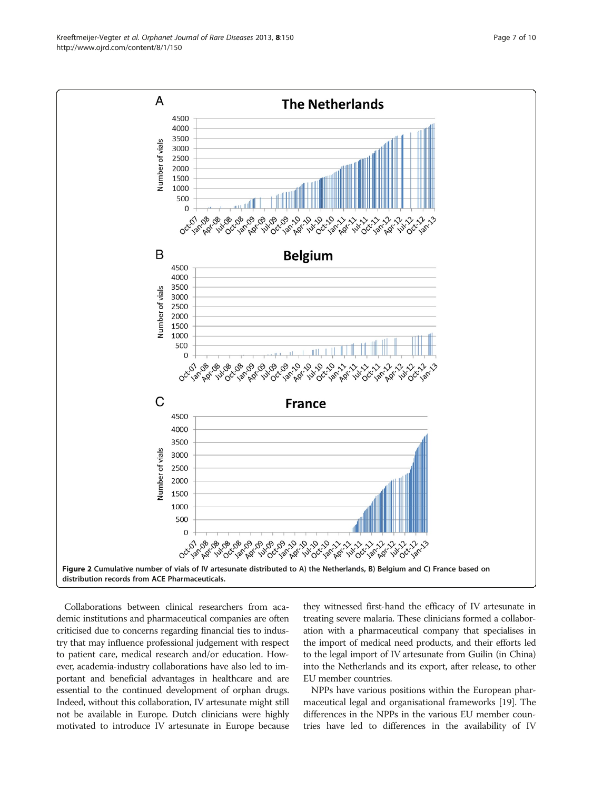Collaborations between clinical researchers from academic institutions and pharmaceutical companies are often criticised due to concerns regarding financial ties to industry that may influence professional judgement with respect to patient care, medical research and/or education. However, academia-industry collaborations have also led to important and beneficial advantages in healthcare and are essential to the continued development of orphan drugs. Indeed, without this collaboration, IV artesunate might still not be available in Europe. Dutch clinicians were highly

motivated to introduce IV artesunate in Europe because

they witnessed first-hand the efficacy of IV artesunate in treating severe malaria. These clinicians formed a collaboration with a pharmaceutical company that specialises in the import of medical need products, and their efforts led to the legal import of IV artesunate from Guilin (in China) into the Netherlands and its export, after release, to other EU member countries.

NPPs have various positions within the European pharmaceutical legal and organisational frameworks [\[19\]](#page-9-0). The differences in the NPPs in the various EU member countries have led to differences in the availability of IV

<span id="page-6-0"></span>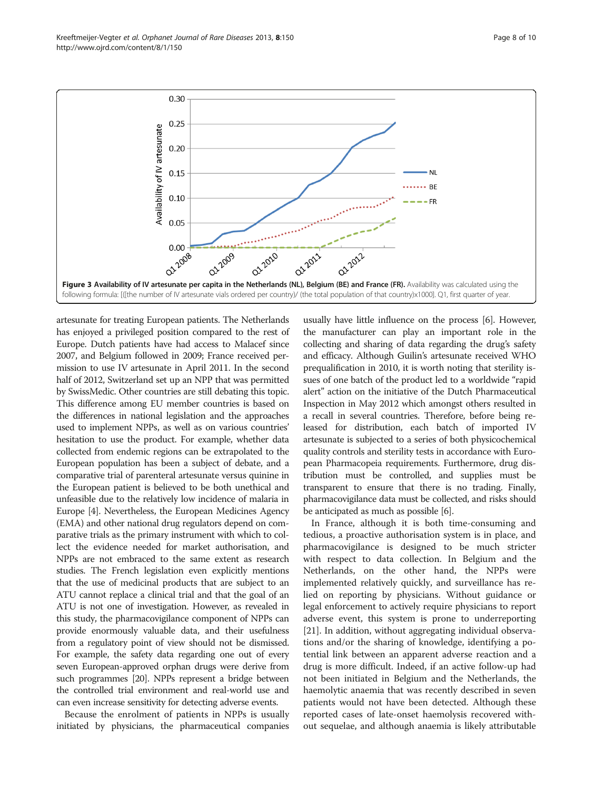<span id="page-7-0"></span>Kreeftmeijer-Vegter et al. Orphanet Journal of Rare Diseases 2013, 8:150 Page 8 of 10 http://www.ojrd.com/content/8/1/150



artesunate for treating European patients. The Netherlands has enjoyed a privileged position compared to the rest of Europe. Dutch patients have had access to Malacef since 2007, and Belgium followed in 2009; France received permission to use IV artesunate in April 2011. In the second half of 2012, Switzerland set up an NPP that was permitted by SwissMedic. Other countries are still debating this topic. This difference among EU member countries is based on the differences in national legislation and the approaches used to implement NPPs, as well as on various countries' hesitation to use the product. For example, whether data collected from endemic regions can be extrapolated to the European population has been a subject of debate, and a comparative trial of parenteral artesunate versus quinine in the European patient is believed to be both unethical and unfeasible due to the relatively low incidence of malaria in Europe [\[4](#page-8-0)]. Nevertheless, the European Medicines Agency (EMA) and other national drug regulators depend on comparative trials as the primary instrument with which to collect the evidence needed for market authorisation, and NPPs are not embraced to the same extent as research studies. The French legislation even explicitly mentions that the use of medicinal products that are subject to an ATU cannot replace a clinical trial and that the goal of an ATU is not one of investigation. However, as revealed in this study, the pharmacovigilance component of NPPs can provide enormously valuable data, and their usefulness from a regulatory point of view should not be dismissed. For example, the safety data regarding one out of every seven European-approved orphan drugs were derive from such programmes [[20](#page-9-0)]. NPPs represent a bridge between the controlled trial environment and real-world use and can even increase sensitivity for detecting adverse events.

Because the enrolment of patients in NPPs is usually initiated by physicians, the pharmaceutical companies

usually have little influence on the process [[6](#page-8-0)]. However, the manufacturer can play an important role in the collecting and sharing of data regarding the drug's safety and efficacy. Although Guilin's artesunate received WHO prequalification in 2010, it is worth noting that sterility issues of one batch of the product led to a worldwide "rapid alert" action on the initiative of the Dutch Pharmaceutical Inspection in May 2012 which amongst others resulted in a recall in several countries. Therefore, before being released for distribution, each batch of imported IV artesunate is subjected to a series of both physicochemical quality controls and sterility tests in accordance with European Pharmacopeia requirements. Furthermore, drug distribution must be controlled, and supplies must be transparent to ensure that there is no trading. Finally, pharmacovigilance data must be collected, and risks should be anticipated as much as possible [\[6\]](#page-8-0).

In France, although it is both time-consuming and tedious, a proactive authorisation system is in place, and pharmacovigilance is designed to be much stricter with respect to data collection. In Belgium and the Netherlands, on the other hand, the NPPs were implemented relatively quickly, and surveillance has relied on reporting by physicians. Without guidance or legal enforcement to actively require physicians to report adverse event, this system is prone to underreporting [[21\]](#page-9-0). In addition, without aggregating individual observations and/or the sharing of knowledge, identifying a potential link between an apparent adverse reaction and a drug is more difficult. Indeed, if an active follow-up had not been initiated in Belgium and the Netherlands, the haemolytic anaemia that was recently described in seven patients would not have been detected. Although these reported cases of late-onset haemolysis recovered without sequelae, and although anaemia is likely attributable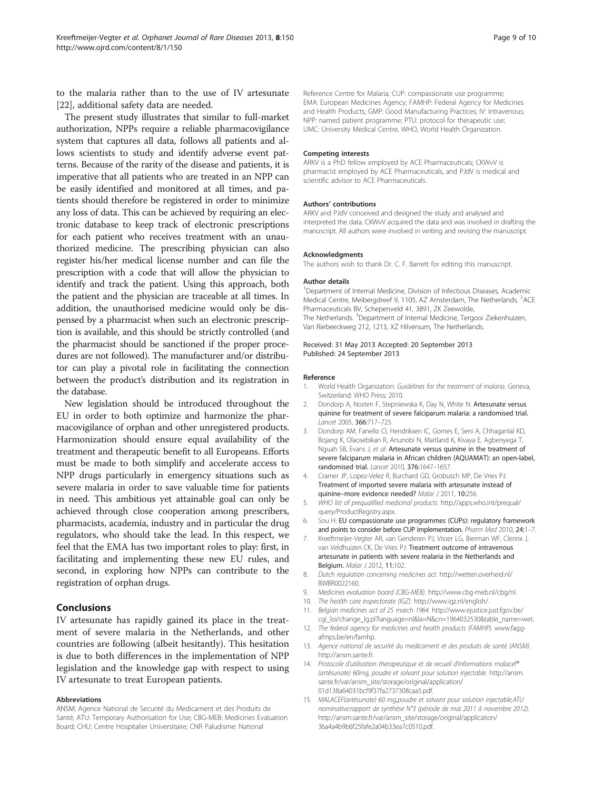<span id="page-8-0"></span>to the malaria rather than to the use of IV artesunate [[22\]](#page-9-0), additional safety data are needed.

The present study illustrates that similar to full-market authorization, NPPs require a reliable pharmacovigilance system that captures all data, follows all patients and allows scientists to study and identify adverse event patterns. Because of the rarity of the disease and patients, it is imperative that all patients who are treated in an NPP can be easily identified and monitored at all times, and patients should therefore be registered in order to minimize any loss of data. This can be achieved by requiring an electronic database to keep track of electronic prescriptions for each patient who receives treatment with an unauthorized medicine. The prescribing physician can also register his/her medical license number and can file the prescription with a code that will allow the physician to identify and track the patient. Using this approach, both the patient and the physician are traceable at all times. In addition, the unauthorised medicine would only be dispensed by a pharmacist when such an electronic prescription is available, and this should be strictly controlled (and the pharmacist should be sanctioned if the proper procedures are not followed). The manufacturer and/or distributor can play a pivotal role in facilitating the connection between the product's distribution and its registration in the database.

New legislation should be introduced throughout the EU in order to both optimize and harmonize the pharmacovigilance of orphan and other unregistered products. Harmonization should ensure equal availability of the treatment and therapeutic benefit to all Europeans. Efforts must be made to both simplify and accelerate access to NPP drugs particularly in emergency situations such as severe malaria in order to save valuable time for patients in need. This ambitious yet attainable goal can only be achieved through close cooperation among prescribers, pharmacists, academia, industry and in particular the drug regulators, who should take the lead. In this respect, we feel that the EMA has two important roles to play: first, in facilitating and implementing these new EU rules, and second, in exploring how NPPs can contribute to the registration of orphan drugs.

#### Conclusions

IV artesunate has rapidly gained its place in the treatment of severe malaria in the Netherlands, and other countries are following (albeit hesitantly). This hesitation is due to both differences in the implementation of NPP legislation and the knowledge gap with respect to using IV artesunate to treat European patients.

#### Abbreviations

ANSM: Agence National de Securité du Medicament et des Produits de Santé; ATU: Temporary Authorisation for Use; CBG-MEB: Medicines Evaluation Board; CHU: Centre Hospitalier Universitaire; CNR Paludisme: National

Reference Centre for Malaria; CUP: compassionate use programme; EMA: European Medicines Agency; FAMHP: Federal Agency for Medicines and Health Products; GMP: Good Manufacturing Practices; IV: Intravenous; NPP: named patient programme; PTU: protocol for therapeutic use; UMC: University Medical Centre, WHO, World Health Organization.

#### Competing interests

ARKV is a PhD fellow employed by ACE Pharmaceuticals; CKWvV is pharmacist employed by ACE Pharmaceuticals, and PJdV is medical and scientific advisor to ACE Pharmaceuticals.

#### Authors' contributions

ARKV and PJdV conceived and designed the study and analysed and interpreted the data. CKWvV acquired the data and was involved in drafting the manuscript. All authors were involved in writing and revising the manuscript.

#### Acknowledgments

The authors wish to thank Dr. C. F. Barrett for editing this manuscript.

#### Author details

<sup>1</sup>Department of Internal Medicine, Division of Infectious Diseases, Academic Medical Centre, Meibergdreef 9, 1105, AZ Amsterdam, The Netherlands. <sup>2</sup>ACE Pharmaceuticals BV, Schepenveld 41, 3891, ZK Zeewolde, The Netherlands. <sup>3</sup>Department of Internal Medicine, Tergooi Ziekenhuizen, Van Riebeeckweg 212, 1213, XZ Hilversum, The Netherlands.

#### Received: 31 May 2013 Accepted: 20 September 2013 Published: 24 September 2013

#### Reference

- 1. World Health Organization: Guidelines for the treatment of malaria. Geneva, Switzerland: WHO Press; 2010.
- 2. Dondorp A, Nosten F, Stepniewska K, Day N, White N: Artesunate versus quinine for treatment of severe falciparum malaria: a randomised trial. Lancet 2005, 366:717–725.
- 3. Dondorp AM, Fanello CI, Hendriksen IC, Gomes E, Seni A, Chhaganlal KD, Bojang K, Olaosebikan R, Anunobi N, Maitland K, Kivaya E, Agbenyega T, Nguah SB, Evans J, et al: Artesunate versus quinine in the treatment of severe falciparum malaria in African children (AQUAMAT): an open-label, randomised trial. Lancet 2010, 376:1647–1657.
- 4. Cramer JP, Lopez-Velez R, Burchard GD, Grobusch MP, De Vries PJ: Treatment of imported severe malaria with artesunate instead of quinine–more evidence needed? Malar J 2011, 10:256.
- 5. WHO list of prequalified medicinal products. [http://apps.who.int/prequal/](http://apps.who.int/prequal/query/ProductRegistry.aspx) [query/ProductRegistry.aspx.](http://apps.who.int/prequal/query/ProductRegistry.aspx)
- 6. Sou H: EU compassionate use programmes (CUPs): regulatory framework and points to consider before CUP implementation. Pharm Med 2010, 24:1-7.
- 7. Kreeftmeijer-Vegter AR, van Genderen PJ, Visser LG, Bierman WF, Clerinx J, van Veldhuizen CK, De Vries PJ: Treatment outcome of intravenous artesunate in patients with severe malaria in the Netherlands and Belgium. Malar J 2012, 11:102.
- 8. Dutch regulation concerning medicines act. [http://wetten.overheid.nl/](http://wetten.overheid.nl/BWBR0022160) [BWBR0022160](http://wetten.overheid.nl/BWBR0022160).
- 9. Medicines evaluation board (CBG-MEB). [http://www.cbg-meb.nl/cbg/nl.](http://www.cbg-meb.nl/cbg/nl)
- 10. The health care inspectorate (IGZ). <http://www.igz.nl/english/>.
- 11. Belgian medicines act of 25 march 1964. [http://www.ejustice.just.fgov.be/](http://www.ejustice.just.fgov.be/cgi_loi/change_lg.pl?language=nl&la=N&cn=1964032530&table_name=wet) [cgi\\_loi/change\\_lg.pl?language=nl&la=N&cn=1964032530&table\\_name=wet](http://www.ejustice.just.fgov.be/cgi_loi/change_lg.pl?language=nl&la=N&cn=1964032530&table_name=wet).
- 12. The federal agency for medicines and health products (FAMHP). [www.fagg](http://www.fagg-afmps.be/en/famhp)[afmps.be/en/famhp](http://www.fagg-afmps.be/en/famhp).
- 13. Agence national de securité du medicament et des produits de santé (ANSM). [http://ansm.sante.fr.](http://ansm.sante.fr)
- 14. Protocole d'utilisation therapeutique et de recueil d'informations malacef® (artésunate) 60mg, poudre et solvant pour solution injectable. [http://ansm.](http://ansm.sante.fr/var/ansm_site/storage/original/application/01d138a64031bcf9f37fa2737308caa5.pdf) [sante.fr/var/ansm\\_site/storage/original/application/](http://ansm.sante.fr/var/ansm_site/storage/original/application/01d138a64031bcf9f37fa2737308caa5.pdf) [01d138a64031bcf9f37fa2737308caa5.pdf](http://ansm.sante.fr/var/ansm_site/storage/original/application/01d138a64031bcf9f37fa2737308caa5.pdf).
- 15. MALACEF(artésunate) 60 mg,poudre et solvant pour solution injectable,ATU nominative:rapport de synthèse N°3 (période de mai 2011 à novembre 2012). [http://ansm.sante.fr/var/ansm\\_site/storage/original/application/](http://ansm.sante.fr/var/ansm_site/storage/original/application/36a4a4b9b6f25fafe2a04b33ea7c0510.pdf) [36a4a4b9b6f25fafe2a04b33ea7c0510.pdf.](http://ansm.sante.fr/var/ansm_site/storage/original/application/36a4a4b9b6f25fafe2a04b33ea7c0510.pdf)